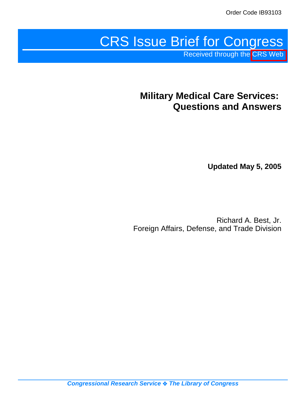# CRS Issue Brief for Congress

Received through the [CRS Web](http://www.fas.org/sgp/crs/misc/index.html)

# **Military Medical Care Services: Questions and Answers**

**Updated May 5, 2005**

Richard A. Best, Jr. Foreign Affairs, Defense, and Trade Division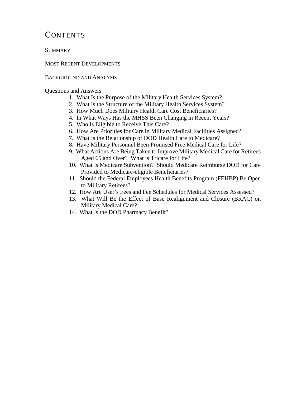# **CONTENTS**

**SUMMARY** 

MOST RECENT DEVELOPMENTS

#### BACKGROUND AND ANALYSIS

Questions and Answers

- 1. What Is the Purpose of the Military Health Services System?
- 2. What Is the Structure of the Military Health Services System?
- 3. How Much Does Military Health Care Cost Beneficiaries?
- 4. In What Ways Has the MHSS Been Changing in Recent Years?
- 5. Who Is Eligible to Receive This Care?
- 6. How Are Priorities for Care in Military Medical Facilities Assigned?
- 7. What Is the Relationship of DOD Health Care to Medicare?
- 8. Have Military Personnel Been Promised Free Medical Care for Life?
- 9. What Actions Are Being Taken to Improve Military Medical Care for Retirees Aged 65 and Over? What is Tricare for Life?
- 10. What Is Medicare Subvention? Should Medicare Reimburse DOD for Care Provided to Medicare-eligible Beneficiaries?
- 11. Should the Federal Employees Health Benefits Program (FEHBP) Be Open to Military Retirees?
- 12. How Are User's Fees and Fee Schedules for Medical Services Assessed?
- 13. What Will Be the Effect of Base Realignment and Closure (BRAC) on Military Medical Care?
- 14. What Is the DOD Pharmacy Benefit?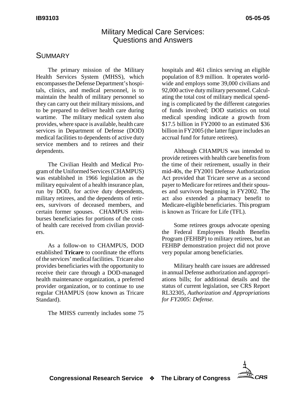# Military Medical Care Services: Questions and Answers

## **SUMMARY**

The primary mission of the Military Health Services System (MHSS), which encompasses the Defense Department's hospitals, clinics, and medical personnel, is to maintain the health of military personnel so they can carry out their military missions, and to be prepared to deliver health care during wartime. The military medical system also provides, where space is available, health care services in Department of Defense (DOD) medical facilities to dependents of active duty service members and to retirees and their dependents.

The Civilian Health and Medical Program of the Uniformed Services (CHAMPUS) was established in 1966 legislation as the military equivalent of a health insurance plan, run by DOD, for active duty dependents, military retirees, and the dependents of retirees, survivors of deceased members, and certain former spouses. CHAMPUS reimburses beneficiaries for portions of the costs of health care received from civilian providers.

As a follow-on to CHAMPUS, DOD established **Tricare** to coordinate the efforts of the services' medical facilities. Tricare also provides beneficiaries with the opportunity to receive their care through a DOD-managed health maintenance organization, a preferred provider organization, or to continue to use regular CHAMPUS (now known as Tricare Standard).

The MHSS currently includes some 75

hospitals and 461 clinics serving an eligible population of 8.9 million. It operates worldwide and employs some 39,000 civilians and 92,000 active duty military personnel. Calculating the total cost of military medical spending is complicated by the different categories of funds involved; DOD statistics on total medical spending indicate a growth from \$17.5 billion in FY2000 to an estimated \$36 billion in FY2005 (the latter figure includes an accrual fund for future retirees).

Although CHAMPUS was intended to provide retirees with health care benefits from the time of their retirement, usually in their mid-40s, the FY2001 Defense Authorization Act provided that Tricare serve as a second payer to Medicare for retirees and their spouses and survivors beginning in FY2002. The act also extended a pharmacy benefit to Medicare-eligible beneficiaries. This program is known as Tricare for Life (TFL).

Some retirees groups advocate opening the Federal Employees Health Benefits Program (FEHBP) to military retirees, but an FEHBP demonstration project did not prove very popular among beneficiaries.

Military health care issues are addressed in annual Defense authorization and appropriations bills; for additional details and the status of current legislation, see CRS Report RL32305, *Authorization and Appropriations for FY2005: Defense.*

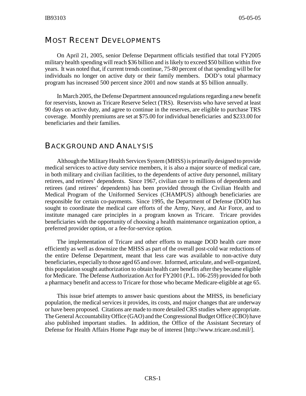## MOST RECENT DEVELOPMENTS

On April 21, 2005, senior Defense Department officials testified that total FY2005 military health spending will reach \$36 billion and is likely to exceed \$50 billion within five years. It was noted that, if current trends continue, 75-80 percent of that spending will be for individuals no longer on active duty or their family members. DOD's total pharmacy program has increased 500 percent since 2001 and now stands at \$5 billion annually.

In March 2005, the Defense Department announced regulations regarding a new benefit for reservists, known as Tricare Reserve Select (TRS). Reservists who have served at least 90 days on active duty, and agree to continue in the reserves, are eligible to purchase TRS coverage. Monthly premiums are set at \$75.00 for individual beneficiaries and \$233.00 for beneficiaries and their families.

## BACKGROUND AND ANALYSIS

Although the Military Health Services System (MHSS) is primarily designed to provide medical services to active duty service members, it is also a major source of medical care, in both military and civilian facilities, to the dependents of active duty personnel, military retirees, and retirees' dependents. Since 1967, civilian care to millions of dependents and retirees (and retirees' dependents) has been provided through the Civilian Health and Medical Program of the Uniformed Services (CHAMPUS) although beneficiaries are responsible for certain co-payments. Since 1995, the Department of Defense (DOD) has sought to coordinate the medical care efforts of the Army, Navy, and Air Force, and to institute managed care principles in a program known as Tricare. Tricare provides beneficiaries with the opportunity of choosing a health maintenance organization option, a preferred provider option, or a fee-for-service option.

The implementation of Tricare and other efforts to manage DOD health care more efficiently as well as downsize the MHSS as part of the overall post-cold war reductions of the entire Defense Department, meant that less care was available to non-active duty beneficiaries, especially to those aged 65 and over. Informed, articulate, and well-organized, this population sought authorization to obtain health care benefits after they became eligible for Medicare. The Defense Authorization Act for FY2001 (P.L. 106-259) provided for both a pharmacy benefit and access to Tricare for those who became Medicare-eligible at age 65.

This issue brief attempts to answer basic questions about the MHSS, its beneficiary population, the medical services it provides, its costs, and major changes that are underway or have been proposed. Citations are made to more detailed CRS studies where appropriate. The General Accountability Office (GAO) and the Congressional Budget Office (CBO) have also published important studies. In addition, the Office of the Assistant Secretary of Defense for Health Affairs Home Page may be of interest [http://www.tricare.osd.mil/].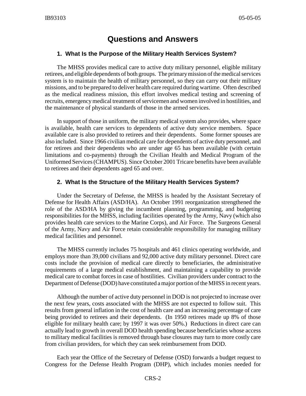# **Questions and Answers**

#### **1. What Is the Purpose of the Military Health Services System?**

The MHSS provides medical care to active duty military personnel, eligible military retirees, and eligible dependents of both groups. The primary mission of the medical services system is to maintain the health of military personnel, so they can carry out their military missions, and to be prepared to deliver health care required during wartime. Often described as the medical readiness mission, this effort involves medical testing and screening of recruits, emergency medical treatment of servicemen and women involved in hostilities, and the maintenance of physical standards of those in the armed services.

In support of those in uniform, the military medical system also provides, where space is available, health care services to dependents of active duty service members. Space available care is also provided to retirees and their dependents. Some former spouses are also included. Since 1966 civilian medical care for dependents of active duty personnel, and for retirees and their dependents who are under age 65 has been available (with certain limitations and co-payments) through the Civilian Health and Medical Program of the Uniformed Services (CHAMPUS). Since October 2001 Tricare benefits have been available to retirees and their dependents aged 65 and over.

#### **2. What Is the Structure of the Military Health Services System?**

Under the Secretary of Defense, the MHSS is headed by the Assistant Secretary of Defense for Health Affairs (ASD/HA). An October 1991 reorganization strengthened the role of the ASD/HA by giving the incumbent planning, programming, and budgeting responsibilities for the MHSS, including facilities operated by the Army, Navy (which also provides health care services to the Marine Corps), and Air Force. The Surgeons General of the Army, Navy and Air Force retain considerable responsibility for managing military medical facilities and personnel.

The MHSS currently includes 75 hospitals and 461 clinics operating worldwide, and employs more than 39,000 civilians and 92,000 active duty military personnel. Direct care costs include the provision of medical care directly to beneficiaries, the administrative requirements of a large medical establishment, and maintaining a capability to provide medical care to combat forces in case of hostilities. Civilian providers under contract to the Department of Defense (DOD) have constituted a major portion of the MHSS in recent years.

Although the number of active duty personnel in DOD is not projected to increase over the next few years, costs associated with the MHSS are not expected to follow suit. This results from general inflation in the cost of health care and an increasing percentage of care being provided to retirees and their dependents. (In 1950 retirees made up 8% of those eligible for military health care; by 1997 it was over 50%.) Reductions in direct care can actually lead to growth in overall DOD health spending because beneficiaries whose access to military medical facilities is removed through base closures may turn to more costly care from civilian providers, for which they can seek reimbursement from DOD.

Each year the Office of the Secretary of Defense (OSD) forwards a budget request to Congress for the Defense Health Program (DHP), which includes monies needed for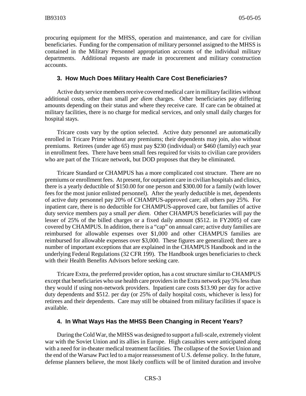procuring equipment for the MHSS, operation and maintenance, and care for civilian beneficiaries. Funding for the compensation of military personnel assigned to the MHSS is contained in the Military Personnel appropriation accounts of the individual military departments. Additional requests are made in procurement and military construction accounts.

#### **3. How Much Does Military Health Care Cost Beneficiaries?**

Active duty service members receive covered medical care in military facilities without additional costs, other than small *per diem* charges. Other beneficiaries pay differing amounts depending on their status and where they receive care. If care can be obtained at military facilities, there is no charge for medical services, and only small daily charges for hospital stays.

Tricare costs vary by the option selected. Active duty personnel are automatically enrolled in Tricare Prime without any premiums; their dependents may join, also without premiums. Retirees (under age 65) must pay \$230 (individual) or \$460 (family) each year in enrollment fees. There have been small fees required for visits to civilian care providers who are part of the Tricare network, but DOD proposes that they be eliminated.

Tricare Standard or CHAMPUS has a more complicated cost structure. There are no premiums or enrollment fees. At present, for outpatient care in civilian hospitals and clinics, there is a yearly deductible of \$150.00 for one person and \$300.00 for a family (with lower fees for the most junior enlisted personnel). After the yearly deductible is met, dependents of active duty personnel pay 20% of CHAMPUS-approved care; all others pay 25%. For inpatient care, there is no deductible for CHAMPUS-approved care, but families of active duty service members pay a small *per diem*. Other CHAMPUS beneficiaries will pay the lesser of 25% of the billed charges or a fixed daily amount (\$512. in FY2005) of care covered by CHAMPUS. In addition, there is a "cap" on annual care; active duty families are reimbursed for allowable expenses over \$1,000 and other CHAMPUS families are reimbursed for allowable expenses over \$3,000. These figures are generalized; there are a number of important exceptions that are explained in the CHAMPUS Handbook and in the underlying Federal Regulations (32 CFR 199). The Handbook urges beneficiaries to check with their Health Benefits Advisors before seeking care.

Tricare Extra, the preferred provider option, has a cost structure similar to CHAMPUS except that beneficiaries who use health care providers in the Extra network pay 5% less than they would if using non-network providers. Inpatient care costs \$13.90 per day for active duty dependents and \$512. per day (or 25% of daily hospital costs, whichever is less) for retirees and their dependents. Care may still be obtained from military facilities if space is available.

#### **4. In What Ways Has the MHSS Been Changing in Recent Years?**

During the Cold War, the MHSS was designed to support a full-scale, extremely violent war with the Soviet Union and its allies in Europe. High casualties were anticipated along with a need for in-theater medical treatment facilities. The collapse of the Soviet Union and the end of the Warsaw Pact led to a major reassessment of U.S. defense policy. In the future, defense planners believe, the most likely conflicts will be of limited duration and involve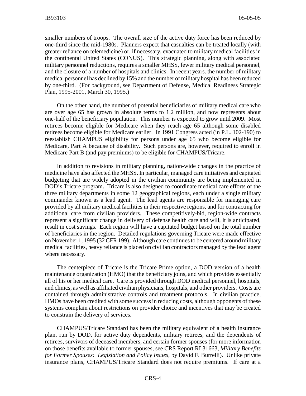smaller numbers of troops. The overall size of the active duty force has been reduced by one-third since the mid-1980s. Planners expect that casualties can be treated locally (with greater reliance on telemedicine) or, if necessary, evacuated to military medical facilities in the continental United States (CONUS). This strategic planning, along with associated military personnel reductions, requires a smaller MHSS, fewer military medical personnel, and the closure of a number of hospitals and clinics. In recent years. the number of military medical personnel has declined by 15% and the number of military hospital has been reduced by one-third. (For background, see Department of Defense, Medical Readiness Strategic Plan, 1995-2001, March 30, 1995.)

On the other hand, the number of potential beneficiaries of military medical care who are over age 65 has grown in absolute terms to 1.2 million, and now represents about one-half of the beneficiary population. This number is expected to grow until 2009. Most retirees become eligible for Medicare when they reach age 65 although some disabled retirees become eligible for Medicare earlier. In 1991 Congress acted (in P.L. 102-190) to reestablish CHAMPUS eligibility for persons under age 65 who become eligible for Medicare, Part A because of disability. Such persons are, however, required to enroll in Medicare Part B (and pay premiums) to be eligible for CHAMPUS/Tricare.

In addition to revisions in military planning, nation-wide changes in the practice of medicine have also affected the MHSS. In particular, managed care initiatives and capitated budgeting that are widely adopted in the civilian community are being implemented in DOD's Tricare program. Tricare is also designed to coordinate medical care efforts of the three military departments in some 12 geographical regions, each under a single military commander known as a lead agent. The lead agents are responsible for managing care provided by all military medical facilities in their respective regions, and for contracting for additional care from civilian providers. These competitively-bid, region-wide contracts represent a significant change in delivery of defense health care and will, it is anticipated, result in cost savings. Each region will have a capitated budget based on the total number of beneficiaries in the region. Detailed regulations governing Tricare were made effective on November 1, 1995 (32 CFR 199). Although care continues to be centered around military medical facilities, heavy reliance is placed on civilian contractors managed by the lead agent where necessary.

The centerpiece of Tricare is the Tricare Prime option, a DOD version of a health maintenance organization (HMO) that the beneficiary joins, and which provides essentially all of his or her medical care. Care is provided through DOD medical personnel, hospitals, and clinics, as well as affiliated civilian physicians, hospitals, and other providers. Costs are contained through administrative controls and treatment protocols. In civilian practice, HMOs have been credited with some success in reducing costs, although opponents of these systems complain about restrictions on provider choice and incentives that may be created to constrain the delivery of services.

CHAMPUS/Tricare Standard has been the military equivalent of a health insurance plan, run by DOD, for active duty dependents, military retirees, and the dependents of retirees, survivors of deceased members, and certain former spouses (for more information on those benefits available to former spouses, see CRS Report RL31663, *Military Benefits for Former Spouses: Legislation and Policy Issues*, by David F. Burrelli). Unlike private insurance plans, CHAMPUS/Tricare Standard does not require premiums. If care at a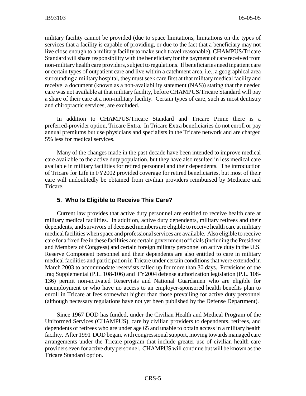military facility cannot be provided (due to space limitations, limitations on the types of services that a facility is capable of providing, or due to the fact that a beneficiary may not live close enough to a military facility to make such travel reasonable), CHAMPUS/Tricare Standard will share responsibility with the beneficiary for the payment of care received from non-military health care providers, subject to regulations. If beneficiaries need inpatient care or certain types of outpatient care and live within a catchment area, i.e., a geographical area surrounding a military hospital, they must seek care first at that military medical facility and receive a document (known as a non-availability statement (NAS)) stating that the needed care was not available at that military facility, before CHAMPUS/Tricare Standard will pay a share of their care at a non-military facility. Certain types of care, such as most dentistry and chiropractic services, are excluded.

In addition to CHAMPUS/Tricare Standard and Tricare Prime there is a preferred-provider option, Tricare Extra. In Tricare Extra beneficiaries do not enroll or pay annual premiums but use physicians and specialists in the Tricare network and are charged 5% less for medical services.

Many of the changes made in the past decade have been intended to improve medical care available to the active duty population, but they have also resulted in less medical care available in military facilities for retired personnel and their dependents. The introduction of Tricare for Life in FY2002 provided coverage for retired beneficiaries, but most of their care will undoubtedly be obtained from civilian providers reimbursed by Medicare and Tricare.

#### **5. Who Is Eligible to Receive This Care?**

Current law provides that active duty personnel are entitled to receive health care at military medical facilities. In addition, active duty dependents, military retirees and their dependents, and survivors of deceased members are eligible to receive health care at military medical facilities when space and professional services are available. Also eligible to receive care for a fixed fee in these facilities are certain government officials (including the President and Members of Congress) and certain foreign military personnel on active duty in the U.S. Reserve Component personnel and their dependents are also entitled to care in military medical facilities and participation in Tricare under certain conditions that were extended in March 2003 to accommodate reservists called up for more than 30 days. Provisions of the Iraq Supplemental (P.L. 108-106) and FY2004 defense authorization legislation (P.L. 108- 136) permit non-activated Reservists and National Guardsmen who are eligible for unemployment or who have no access to an employer-sponsored health benefits plan to enroll in Tricare at fees somewhat higher than those prevailing for active duty personnel (although necessary regulations have not yet been published by the Defense Department).

Since 1967 DOD has funded, under the Civilian Health and Medical Program of the Uniformed Services (CHAMPUS), care by civilian providers to dependents, retirees, and dependents of retirees who are under age 65 and unable to obtain access in a military health facility. After 1991 DOD began, with congressional support, moving towards managed care arrangements under the Tricare program that include greater use of civilian health care providers even for active duty personnel. CHAMPUS will continue but will be known as the Tricare Standard option.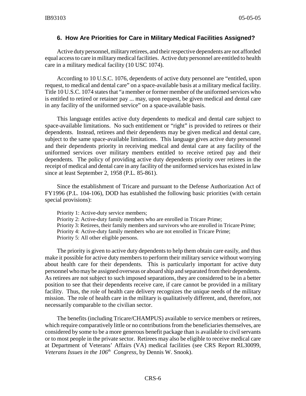#### **6. How Are Priorities for Care in Military Medical Facilities Assigned?**

Active duty personnel, military retirees, and their respective dependents are not afforded equal access to care in military medical facilities. Active duty personnel are entitled to health care in a military medical facility (10 USC 1074).

According to 10 U.S.C. 1076, dependents of active duty personnel are "entitled, upon request, to medical and dental care" on a space-available basis at a military medical facility. Title 10 U.S.C. 1074 states that "a member or former member of the uniformed services who is entitled to retired or retainer pay ... may, upon request, be given medical and dental care in any facility of the uniformed service" on a space-available basis.

This language entitles active duty dependents to medical and dental care subject to space-available limitations. No such entitlement or "right" is provided to retirees or their dependents. Instead, retirees and their dependents may be given medical and dental care, subject to the same space-available limitations. This language gives active duty personnel and their dependents priority in receiving medical and dental care at any facility of the uniformed services over military members entitled to receive retired pay and their dependents. The policy of providing active duty dependents priority over retirees in the receipt of medical and dental care in any facility of the uniformed services has existed in law since at least September 2, 1958 (P.L. 85-861).

Since the establishment of Tricare and pursuant to the Defense Authorization Act of FY1996 (P.L. 104-106), DOD has established the following basic priorities (with certain special provisions):

Priority 1: Active-duty service members; Priority 2: Active-duty family members who are enrolled in Tricare Prime; Priority 3: Retirees, their family members and survivors who are enrolled in Tricare Prime; Priority 4: Active-duty family members who are not enrolled in Tricare Prime; Priority 5: All other eligible persons.

The priority is given to active duty dependents to help them obtain care easily, and thus make it possible for active duty members to perform their military service without worrying about health care for their dependents. This is particularly important for active duty personnel who may be assigned overseas or aboard ship and separated from their dependents. As retirees are not subject to such imposed separations, they are considered to be in a better position to see that their dependents receive care, if care cannot be provided in a military facility. Thus, the role of health care delivery recognizes the unique needs of the military mission. The role of health care in the military is qualitatively different, and, therefore, not necessarily comparable to the civilian sector.

The benefits (including Tricare/CHAMPUS) available to service members or retirees, which require comparatively little or no contributions from the beneficiaries themselves, are considered by some to be a more generous benefit package than is available to civil servants or to most people in the private sector. Retirees may also be eligible to receive medical care at Department of Veterans' Affairs (VA) medical facilities (see CRS Report RL30099, *Veterans Issues in the 106<sup>th</sup> Congress*, by Dennis W. Snook).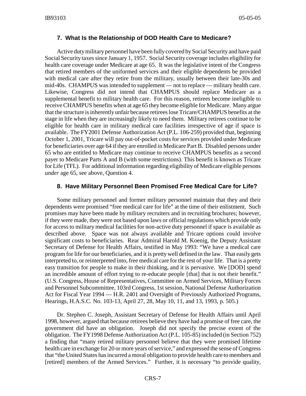#### **7. What Is the Relationship of DOD Health Care to Medicare?**

Active duty military personnel have been fully covered by Social Security and have paid Social Security taxes since January 1, 1957. Social Security coverage includes eligibility for health care coverage under Medicare at age 65. It was the legislative intent of the Congress that retired members of the uniformed services and their eligible dependents be provided with medical care after they retire from the military, usually between their late-30s and mid-40s. CHAMPUS was intended to supplement — not to replace — military health care. Likewise, Congress did not intend that CHAMPUS should replace Medicare as a supplemental benefit to military health care. For this reason, retirees become ineligible to receive CHAMPUS benefits when at age 65 they become eligible for Medicare. Many argue that the structure is inherently unfair because retirees lose Tricare/CHAMPUS benefits at the stage in life when they are increasingly likely to need them. Military retirees continue to be eligible for health care in military medical care facilities irrespective of age if space is available. The FY2001 Defense Authorization Act (P.L. 106-259) provided that, beginning October 1, 2001, Tricare will pay out-of-pocket costs for services provided under Medicare for beneficiaries over age 64 if they are enrolled in Medicare Part B. Disabled persons under 65 who are entitled to Medicare may continue to receive CHAMPUS benefits as a second payer to Medicare Parts A and B (with some restrictions). This benefit is known as Tricare for Life (TFL). For additional information regarding eligibility of Medicare eligible persons *under* age 65, see above, Question 4.

#### **8. Have Military Personnel Been Promised Free Medical Care for Life?**

Some military personnel and former military personnel maintain that they and their dependents were promised "free medical care for life" at the time of their enlistment. Such promises may have been made by military recruiters and in recruiting brochures; however, if they were made, they were not based upon laws or official regulations which provide only for access to military medical facilities for non-active duty personnel if space is available as described above. Space was not always available and Tricare options could involve significant costs to beneficiaries. Rear Admiral Harold M. Koenig, the Deputy Assistant Secretary of Defense for Health Affairs, testified in May 1993: "We have a medical care program for life for our beneficiaries, and it is pretty well defined in the law. That easily gets interpreted to, or reinterpreted into, free medical care for the rest of your life. That is a pretty easy transition for people to make in their thinking, and it is pervasive. We [DOD] spend an incredible amount of effort trying to re-educate people [that] that is not their benefit." (U.S. Congress, House of Representatives, Committee on Armed Services, Military Forces and Personnel Subcommittee, 103rd Congress, 1st session, National Defense Authorization Act for Fiscal Year 1994 — H.R. 2401 and Oversight of Previously Authorized Programs, Hearings, H.A.S.C. No. 103-13, April 27, 28, May 10, 11, and 13, 1993, p. 505.)

Dr. Stephen C. Joseph, Assistant Secretary of Defense for Health Affairs until April 1998, however, argued that because retirees believe they have had a promise of free care, the government did have an obligation. Joseph did not specify the precise extent of the obligation. The FY1998 Defense Authorization Act (P.L. 105-85) included (in Section 752) a finding that "many retired military personnel believe that they were promised lifetime health care in exchange for 20 or more years of service," and expressed the sense of Congress that "the United States has incurred a moral obligation to provide health care to members and [retired] members of the Armed Services." Further, it is necessary "to provide quality,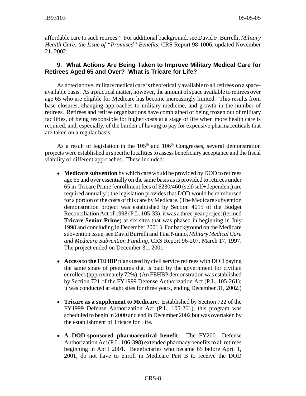affordable care to such retirees." For additional background, see David F. Burrelli, *Military Health Care: the Issue of "Promised" Benefits*, CRS Report 98-1006, updated November 21, 2002.

#### **9. What Actions Are Being Taken to Improve Military Medical Care for Retirees Aged 65 and Over? What is Tricare for Life?**

As noted above, military medical care is theoretically available to all retirees on a spaceavailable basis. As a practical matter, however, the amount of space available to retirees over age 65 who are eligible for Medicare has become increasingly limited. This results from base closures, changing approaches to military medicine, and growth in the number of retirees. Retirees and retiree organizations have complained of being frozen out of military facilities, of being responsible for higher costs at a stage of life when more health care is required, and, especially, of the burden of having to pay for expensive pharmaceuticals that are taken on a regular basis.

As a result of legislation in the  $105<sup>th</sup>$  and  $106<sup>th</sup>$  Congresses, several demonstration projects were established in specific localities to assess beneficiary acceptance and the fiscal viability of different approaches. These included:

- ! **Medicare subvention** by which care would be provided by DOD to retirees age 65 and over essentially on the same basis as is provided to retirees under 65 in Tricare Prime [enrollment fees of \$230/460 (self/self+dependent) are required annually]; the legislation provides that DOD would be reimbursed for a portion of the costs of this care by Medicare. (The Medicare subvention demonstration project was established by Section 4015 of the Budget Reconciliation Act of 1998 (P.L. 105-33); it was a three-year project (termed **Tricare Senior Prime**) at six sites that was phased in beginning in July 1998 and concluding in December 2001.) For background on the Medicare subvention issue, see David Burrelli and Tina Nunno, *Military Medical Care and Medicare Subvention Funding*, CRS Report 96-207, March 17, 1997. The project ended on December 31, 2001.
- ! **Access to the FEHBP** plans used by civil service retirees with DOD paying the same share of premiums that is paid by the government for civilian enrollees (approximately 72%). (An FEHBP demonstration was established by Section 721 of the FY1999 Defense Authorization Act (P.L. 105-261); it was conducted at eight sites for three years, ending December 31, 2002.)
- ! **Tricare as a supplement to Medicare**. Established by Section 722 of the FY1999 Defense Authorization Act (P.L. 105-261), this program was scheduled to begin in 2000 and end in December 2002 but was overtaken by the establishment of Tricare for Life.
- ! **A DOD-sponsored pharmaceutical benefit**. The FY2001 Defense Authorization Act (P.L. 106-398) extended pharmacy benefits to all retirees beginning in April 2001. Beneficiaries who became 65 before April 1, 2001, do not have to enroll in Medicare Part B to receive the DOD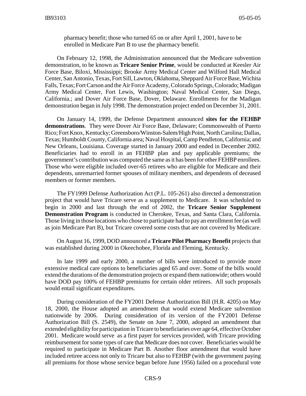pharmacy benefit; those who turned 65 on or after April 1, 2001, have to be enrolled in Medicare Part B to use the pharmacy benefit.

On February 12, 1998, the Administration announced that the Medicare subvention demonstration, to be known as **Tricare Senior Prime**, would be conducted at Keesler Air Force Base, Biloxi, Mississippi; Brooke Army Medical Center and Wilford Hall Medical Center, San Antonio, Texas, Fort Sill, Lawton, Oklahoma, Sheppard Air Force Base, Wichita Falls, Texas; Fort Carson and the Air Force Academy, Colorado Springs, Colorado; Madigan Army Medical Center, Fort Lewis, Washington; Naval Medical Center, San Diego, California.; and Dover Air Force Base, Dover, Delaware. Enrollments for the Madigan demonstration began in July 1998. The demonstration project ended on December 31, 2001.

On January 14, 1999, the Defense Department announced **sites for the FEHBP demonstrations**. They were Dover Air Force Base, Delaware; Commonwealth of Puerto Rico; Fort Knox, Kentucky; Greensboro/Winston-Salem/High Point, North Carolina; Dallas, Texas; Humboldt County, California area; Naval Hospital, Camp Pendleton, California; and New Orleans, Louisiana. Coverage started in January 2000 and ended in December 2002. Beneficiaries had to enroll in an FEHBP plan and pay applicable premiums; the government's contribution was computed the same as it has been for other FEHBP enrollees. Those who were eligible included over-65 retirees who are eligible for Medicare and their dependents, unremarried former spouses of military members, and dependents of deceased members or former members.

The FY1999 Defense Authorization Act (P.L. 105-261) also directed a demonstration project that would have Tricare serve as a supplement to Medicare. It was scheduled to begin in 2000 and last through the end of 2002, the **Tricare Senior Supplement Demonstration Program** is conducted in Cherokee, Texas, and Santa Clara, California. Those living in those locations who chose to participate had to pay an enrollment fee (as well as join Medicare Part B), but Tricare covered some costs that are not covered by Medicare.

On August 16, 1999, DOD announced a **Tricare Pilot Pharmacy Benefit** projects that was established during 2000 in Okeechobee, Florida and Fleming, Kentucky.

In late 1999 and early 2000, a number of bills were introduced to provide more extensive medical care options to beneficiaries aged 65 and over. Some of the bills would extend the durations of the demonstration projects or expand them nationwide; others would have DOD pay 100% of FEHBP premiums for certain older retirees. All such proposals would entail significant expenditures.

During consideration of the FY2001 Defense Authorization Bill (H.R. 4205) on May 18, 2000, the House adopted an amendment that would extend Medicare subvention nationwide by 2006. During consideration of its version of the FY2001 Defense Authorization Bill (S. 2549), the Senate on June 7, 2000, adopted an amendment that extended eligibility for participation in Tricare to beneficiaries over age 64, effective October 2001. Medicare would serve as a first payer for services provided, with Tricare providing reimbursement for some types of care that Medicare does not cover. Beneficiaries would be required to participate in Medicare Part B. Another floor amendment that would have included retiree access not only to Tricare but also to FEHBP (with the government paying all premiums for those whose service began before June 1956) failed on a procedural vote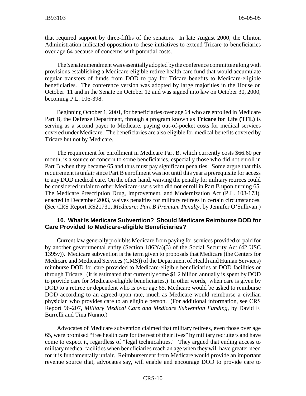that required support by three-fifths of the senators. In late August 2000, the Clinton Administration indicated opposition to these initiatives to extend Tricare to beneficiaries over age 64 because of concerns with potential costs.

The Senate amendment was essentially adopted by the conference committee along with provisions establishing a Medicare-eligible retiree health care fund that would accumulate regular transfers of funds from DOD to pay for Tricare benefits to Medicare-eligible beneficiaries. The conference version was adopted by large majorities in the House on October 11 and in the Senate on October 12 and was signed into law on October 30, 2000, becoming P.L. 106-398.

Beginning October 1, 2001, for beneficiaries over age 64 who are enrolled in Medicare Part B, the Defense Department, through a program known as **Tricare for Life (TFL)** is serving as a second payer to Medicare, paying out-of-pocket costs for medical services covered under Medicare. The beneficiaries are also eligible for medical benefits covered by Tricare but not by Medicare.

The requirement for enrollment in Medicare Part B, which currently costs \$66.60 per month, is a source of concern to some beneficiaries, especially those who did not enroll in Part B when they became 65 and thus must pay significant penalties. Some argue that this requirement is unfair since Part B enrollment was not until this year a prerequisite for access to any DOD medical care. On the other hand, waiving the penalty for military retirees could be considered unfair to other Medicare-users who did not enroll in Part B upon turning 65. The Medicare Prescription Drug, Improvement, and Modernization Act (P.L. 108-173), enacted in December 2003, waives penalties for military retirees in certain circumstances. (See CRS Report RS21731, *Medicare: Part B Premium Penalty*, by Jennifer O'Sullivan.)

#### **10. What Is Medicare Subvention? Should Medicare Reimburse DOD for Care Provided to Medicare-eligible Beneficiaries?**

Current law generally prohibits Medicare from paying for services provided or paid for by another governmental entity (Section 1862(a)(3) of the Social Security Act (42 USC 1395y)). Medicare subvention is the term given to proposals that Medicare (the Centers for Medicare and Medicaid Services (CMS)) of the Department of Health and Human Services) reimburse DOD for care provided to Medicare-eligible beneficiaries at DOD facilities or through Tricare. (It is estimated that currently some \$1.2 billion annually is spent by DOD to provide care for Medicare-eligible beneficiaries.) In other words, when care is given by DOD to a retiree or dependent who is over age 65, Medicare would be asked to reimburse DOD according to an agreed-upon rate, much as Medicare would reimburse a civilian physician who provides care to an eligible person. (For additional information, see CRS Report 96-207, *Military Medical Care and Medicare Subvention Funding*, by David F. Burrelli and Tina Nunno.)

Advocates of Medicare subvention claimed that military retirees, even those over age 65, were promised "free health care for the rest of their lives" by military recruiters and have come to expect it, regardless of "legal technicalities." They argued that ending access to military medical facilities when beneficiaries reach an age when they will have greater need for it is fundamentally unfair. Reimbursement from Medicare would provide an important revenue source that, advocates say, will enable and encourage DOD to provide care to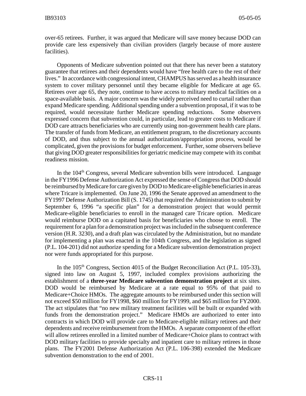over-65 retirees. Further, it was argued that Medicare will save money because DOD can provide care less expensively than civilian providers (largely because of more austere facilities).

Opponents of Medicare subvention pointed out that there has never been a statutory guarantee that retirees and their dependents would have "free health care to the rest of their lives." In accordance with congressional intent, CHAMPUS has served as a health insurance system to cover military personnel until they became eligible for Medicare at age 65. Retirees over age 65, they note, continue to have access to military medical facilities on a space-available basis. A major concern was the widely perceived need to curtail rather than expand Medicare spending. Additional spending under a subvention proposal, if it was to be required, would necessitate further Medicare spending reductions. Some observers expressed concern that subvention could, in particular, lead to greater costs to Medicare if DOD care attracts beneficiaries who are currently using non-government health care plans. The transfer of funds from Medicare, an entitlement program, to the discretionary accounts of DOD, and thus subject to the annual authorization/appropriation process, would be complicated, given the provisions for budget enforcement. Further, some observers believe that giving DOD greater responsibilities for geriatric medicine may compete with its combat readiness mission.

In the 104<sup>th</sup> Congress, several Medicare subvention bills were introduced. Language in the FY1996 Defense Authorization Act expressed the sense of Congress that DOD should be reimbursed by Medicare for care given by DOD to Medicare-eligible beneficiaries in areas where Tricare is implemented. On June 20, 1996 the Senate approved an amendment to the FY1997 Defense Authorization Bill (S. 1745) that required the Administration to submit by September 6, 1996 "a specific plan" for a demonstration project that would permit Medicare-eligible beneficiaries to enroll in the managed care Tricare option. Medicare would reimburse DOD on a capitated basis for beneficiaries who choose to enroll. The requirement for a plan for a demonstration project was included in the subsequent conference version (H.R. 3230), and a draft plan was circulated by the Administration, but no mandate for implementing a plan was enacted in the 104th Congress, and the legislation as signed (P.L. 104-201) did not authorize spending for a Medicare subvention demonstration project nor were funds appropriated for this purpose.

In the  $105<sup>th</sup>$  Congress, Section 4015 of the Budget Reconciliation Act (P.L. 105-33), signed into law on August 5, 1997, included complex provisions authorizing the establishment of a **three-year Medicare subvention demonstration project** at six sites. DOD would be reimbursed by Medicare at a rate equal to 95% of that paid to Medicare+Choice HMOs. The aggregate amounts to be reimbursed under this section will not exceed \$50 million for FY1998, \$60 million for FY1999, and \$65 million for FY2000. The act stipulates that "no new military treatment facilities will be built or expanded with funds from the demonstration project." Medicare HMOs are authorized to enter into contracts in which DOD will provide care to Medicare-eligible military retirees and their dependents and receive reimbursement from the HMOs. A separate component of the effort will allow retirees enrolled in a limited number of Medicare+Choice plans to contract with DOD military facilities to provide specialty and inpatient care to military retirees in those plans. The FY2001 Defense Authorization Act (P.L. 106-398) extended the Medicare subvention demonstration to the end of 2001.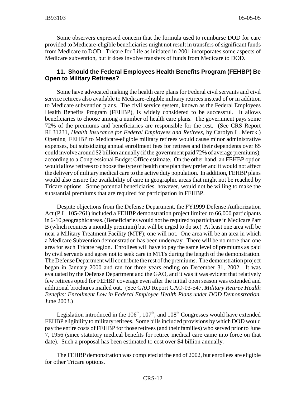Some observers expressed concern that the formula used to reimburse DOD for care provided to Medicare-eligible beneficiaries might not result in transfers of significant funds from Medicare to DOD. Tricare for Life as initiated in 2001 incorporates some aspects of Medicare subvention, but it does involve transfers of funds from Medicare to DOD.

#### **11. Should the Federal Employees Health Benefits Program (FEHBP) Be Open to Military Retirees?**

Some have advocated making the health care plans for Federal civil servants and civil service retirees also available to Medicare-eligible military retirees instead of or in addition to Medicare subvention plans. The civil service system, known as the Federal Employees Health Benefits Program (FEHBP), is widely considered to be successful. It allows beneficiaries to choose among a number of health care plans. The government pays some 72% of the premiums and beneficiaries are responsible for the rest. (See CRS Report RL31231, *Health Insurance for Federal Employees and Retirees,* by Carolyn L. Merck.) Opening FEHBP to Medicare-eligible military retirees would cause minor administrative expenses, but subsidizing annual enrollment fees for retirees and their dependents over 65 could involve around \$2 billion annually (if the government paid 72% of average premiums), according to a Congressional Budget Office estimate. On the other hand, an FEHBP option would allow retirees to choose the type of health care plan they prefer and it would not affect the delivery of military medical care to the active duty population. In addition, FEHBP plans would also ensure the availability of care in geographic areas that might not be reached by Tricare options. Some potential beneficiaries, however, would not be willing to make the substantial premiums that are required for participation in FEHBP.

Despite objections from the Defense Department, the FY1999 Defense Authorization Act (P.L. 105-261) included a FEHBP demonstration project limited to 66,000 participants in 6-10 geographic areas. (Beneficiaries would not be required to participate in Medicare Part B (which requires a monthly premium) but will be urged to do so.) At least one area will be near a Military Treatment Facility (MTF); one will not. One area will be an area in which a Medicare Subvention demonstration has been underway. There will be no more than one area for each Tricare region. Enrollees will have to pay the same level of premiums as paid by civil servants and agree not to seek care in MTFs during the length of the demonstration. The Defense Department will contribute the rest of the premiums. The demonstration project began in January 2000 and ran for three years ending on December 31, 2002. It was evaluated by the Defense Department and the GAO, and it was it was evident that relatively few retirees opted for FEHBP coverage even after the initial open season was extended and additional brochures mailed out. (See GAO Report GAO-03-547, *Military Retiree Health Benefits: Enrollment Low in Federal Employee Health Plans under DOD Demonstration*, June 2003.)

Legislation introduced in the  $106<sup>th</sup>$ ,  $107<sup>th</sup>$ , and  $108<sup>th</sup>$  Congresses would have extended FEHBP eligibility to military retirees. Some bills included provisions by which DOD would pay the entire costs of FEHBP for those retirees (and their families) who served prior to June 7, 1956 (since statutory medical benefits for retiree medical care came into force on that date). Such a proposal has been estimated to cost over \$4 billion annually.

The FEHBP demonstration was completed at the end of 2002, but enrollees are eligible for other Tricare options.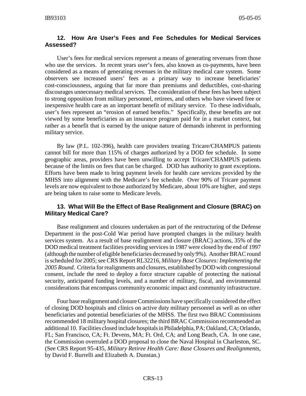#### **12. How Are User's Fees and Fee Schedules for Medical Services Assessed?**

User's fees for medical services represent a means of generating revenues from those who use the services. In recent years user's fees, also known as co-payments, have been considered as a means of generating revenues in the military medical care system. Some observers see increased users' fees as a primary way to increase beneficiaries' cost-consciousness, arguing that far more than premiums and deductibles, cost-sharing discourages unnecessary medical services. The consideration of these fees has been subject to strong opposition from military personnel, retirees, and others who have viewed free or inexpensive health care as an important benefit of military service. To these individuals, user's fees represent an "erosion of earned benefits." Specifically, these benefits are not viewed by some beneficiaries as an insurance program paid for in a market context, but rather as a benefit that is earned by the unique nature of demands inherent in performing military service.

By law (P.L. 102-396), health care providers treating Tricare/CHAMPUS patients cannot bill for more than 115% of charges authorized by a DOD fee schedule. In some geographic areas, providers have been unwilling to accept Tricare/CHAMPUS patients because of the limits on fees that can be charged. DOD has authority to grant exceptions. Efforts have been made to bring payment levels for health care services provided by the MHSS into alignment with the Medicare's fee schedule. Over 90% of Tricare payment levels are now equivalent to those authorized by Medicare, about 10% are higher, and steps are being taken to raise some to Medicare levels.

#### **13. What Will Be the Effect of Base Realignment and Closure (BRAC) on Military Medical Care?**

Base realignment and closures undertaken as part of the restructuring of the Defense Department in the post-Cold War period have prompted changes in the military health services system. As a result of base realignment and closure (BRAC) actions, 35% of the DOD medical treatment facilities providing services in 1987 were closed by the end of 1997 (although the number of eligible beneficiaries decreased by only 9%). Another BRAC round is scheduled for 2005; see CRS Report RL32216, *Military Base Closures: Implementing the 2005 Round*. Criteria for realignments and closures, established by DOD with congressional consent, include the need to deploy a force structure capable of protecting the national security, anticipated funding levels, and a number of military, fiscal, and environmental considerations that encompass community economic impact and community infrastructure.

Four base realignment and closure Commissions have specifically considered the effect of closing DOD hospitals and clinics on active duty military personnel as well as on other beneficiaries and potential beneficiaries of the MHSS. The first two BRAC Commissions recommended 18 military hospital closures; the third BRAC Commission recommended an additional 10. Facilities closed include hospitals in Philadelphia, PA; Oakland, CA; Orlando, FL; San Francisco, CA; Ft. Devens, MA; Ft. Ord, CA; and Long Beach, CA. In one case, the Commission overruled a DOD proposal to close the Naval Hospital in Charleston, SC. (See CRS Report 95-435, *Military Retiree Health Care: Base Closures and Realignments*, by David F. Burrelli and Elizabeth A. Dunstan.)